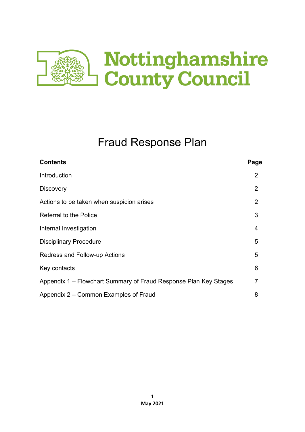

# Fraud Response Plan

| <b>Contents</b>                                                  | Page |  |
|------------------------------------------------------------------|------|--|
| Introduction                                                     | 2    |  |
| <b>Discovery</b>                                                 | 2    |  |
| Actions to be taken when suspicion arises                        | 2    |  |
| <b>Referral to the Police</b>                                    | 3    |  |
| Internal Investigation                                           | 4    |  |
| <b>Disciplinary Procedure</b>                                    |      |  |
| <b>Redress and Follow-up Actions</b>                             |      |  |
| Key contacts                                                     | 6    |  |
| Appendix 1 – Flowchart Summary of Fraud Response Plan Key Stages |      |  |
| Appendix 2 – Common Examples of Fraud                            |      |  |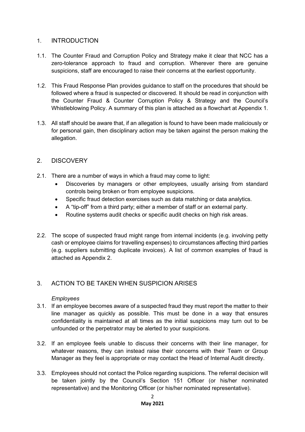# 1. INTRODUCTION

- 1.1. The Counter Fraud and Corruption Policy and Strategy make it clear that NCC has a zero-tolerance approach to fraud and corruption. Wherever there are genuine suspicions, staff are encouraged to raise their concerns at the earliest opportunity.
- 1.2. This Fraud Response Plan provides guidance to staff on the procedures that should be followed where a fraud is suspected or discovered. It should be read in conjunction with the Counter Fraud & Counter Corruption Policy & Strategy and the Council's Whistleblowing Policy. A summary of this plan is attached as a flowchart at Appendix 1.
- 1.3. All staff should be aware that, if an allegation is found to have been made maliciously or for personal gain, then disciplinary action may be taken against the person making the allegation.

# 2. DISCOVERY

- 2.1. There are a number of ways in which a fraud may come to light:
	- Discoveries by managers or other employees, usually arising from standard controls being broken or from employee suspicions.
	- Specific fraud detection exercises such as data matching or data analytics.
	- A "tip-off" from a third party; either a member of staff or an external party.
	- Routine systems audit checks or specific audit checks on high risk areas.
- 2.2. The scope of suspected fraud might range from internal incidents (e.g. involving petty cash or employee claims for travelling expenses) to circumstances affecting third parties (e.g. suppliers submitting duplicate invoices). A list of common examples of fraud is attached as Appendix 2.

## 3. ACTION TO BE TAKEN WHEN SUSPICION ARISES

#### *Employees*

- 3.1. If an employee becomes aware of a suspected fraud they must report the matter to their line manager as quickly as possible. This must be done in a way that ensures confidentiality is maintained at all times as the initial suspicions may turn out to be unfounded or the perpetrator may be alerted to your suspicions.
- 3.2. If an employee feels unable to discuss their concerns with their line manager, for whatever reasons, they can instead raise their concerns with their Team or Group Manager as they feel is appropriate or may contact the Head of Internal Audit directly.
- 3.3. Employees should not contact the Police regarding suspicions. The referral decision will be taken jointly by the Council's Section 151 Officer (or his/her nominated representative) and the Monitoring Officer (or his/her nominated representative).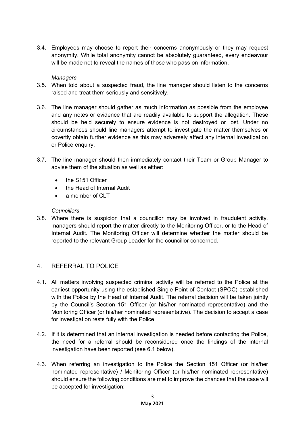3.4. Employees may choose to report their concerns anonymously or they may request anonymity. While total anonymity cannot be absolutely guaranteed, every endeavour will be made not to reveal the names of those who pass on information.

#### *Managers*

- 3.5. When told about a suspected fraud, the line manager should listen to the concerns raised and treat them seriously and sensitively.
- 3.6. The line manager should gather as much information as possible from the employee and any notes or evidence that are readily available to support the allegation. These should be held securely to ensure evidence is not destroyed or lost. Under no circumstances should line managers attempt to investigate the matter themselves or covertly obtain further evidence as this may adversely affect any internal investigation or Police enquiry.
- 3.7. The line manager should then immediately contact their Team or Group Manager to advise them of the situation as well as either:
	- the S151 Officer
	- the Head of Internal Audit
	- $\bullet$  a member of CLT

#### *Councillors*

3.8. Where there is suspicion that a councillor may be involved in fraudulent activity, managers should report the matter directly to the Monitoring Officer, or to the Head of Internal Audit. The Monitoring Officer will determine whether the matter should be reported to the relevant Group Leader for the councillor concerned.

## 4. REFERRAL TO POLICE

- 4.1. All matters involving suspected criminal activity will be referred to the Police at the earliest opportunity using the established Single Point of Contact (SPOC) established with the Police by the Head of Internal Audit. The referral decision will be taken jointly by the Council's Section 151 Officer (or his/her nominated representative) and the Monitoring Officer (or his/her nominated representative). The decision to accept a case for investigation rests fully with the Police.
- 4.2. If it is determined that an internal investigation is needed before contacting the Police, the need for a referral should be reconsidered once the findings of the internal investigation have been reported (see 6.1 below).
- 4.3. When referring an investigation to the Police the Section 151 Officer (or his/her nominated representative) / Monitoring Officer (or his/her nominated representative) should ensure the following conditions are met to improve the chances that the case will be accepted for investigation: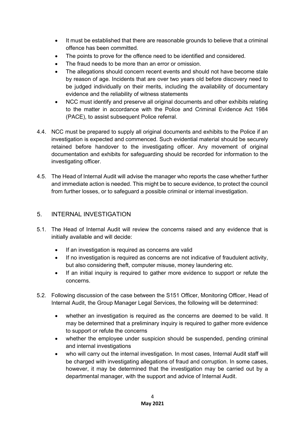- It must be established that there are reasonable grounds to believe that a criminal offence has been committed.
- The points to prove for the offence need to be identified and considered.
- The fraud needs to be more than an error or omission.
- The allegations should concern recent events and should not have become stale by reason of age. Incidents that are over two years old before discovery need to be judged individually on their merits, including the availability of documentary evidence and the reliability of witness statements
- NCC must identify and preserve all original documents and other exhibits relating to the matter in accordance with the Police and Criminal Evidence Act 1984 (PACE), to assist subsequent Police referral.
- 4.4. NCC must be prepared to supply all original documents and exhibits to the Police if an investigation is expected and commenced. Such evidential material should be securely retained before handover to the investigating officer. Any movement of original documentation and exhibits for safeguarding should be recorded for information to the investigating officer.
- 4.5. The Head of Internal Audit will advise the manager who reports the case whether further and immediate action is needed. This might be to secure evidence, to protect the council from further losses, or to safeguard a possible criminal or internal investigation.

# 5. INTERNAL INVESTIGATION

- 5.1. The Head of Internal Audit will review the concerns raised and any evidence that is initially available and will decide:
	- If an investigation is required as concerns are valid
	- If no investigation is required as concerns are not indicative of fraudulent activity, but also considering theft, computer misuse, money laundering etc.
	- If an initial inquiry is required to gather more evidence to support or refute the concerns.
- 5.2. Following discussion of the case between the S151 Officer, Monitoring Officer, Head of Internal Audit, the Group Manager Legal Services, the following will be determined:
	- whether an investigation is required as the concerns are deemed to be valid. It may be determined that a preliminary inquiry is required to gather more evidence to support or refute the concerns
	- whether the employee under suspicion should be suspended, pending criminal and internal investigations
	- who will carry out the internal investigation. In most cases, Internal Audit staff will be charged with investigating allegations of fraud and corruption. In some cases, however, it may be determined that the investigation may be carried out by a departmental manager, with the support and advice of Internal Audit.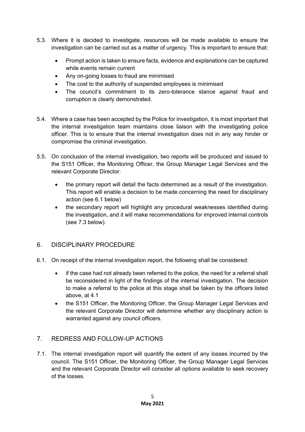- 5.3. Where it is decided to investigate, resources will be made available to ensure the investigation can be carried out as a matter of urgency. This is important to ensure that:
	- Prompt action is taken to ensure facts, evidence and explanations can be captured while events remain current
	- Any on-going losses to fraud are minimised
	- The cost to the authority of suspended employees is minimised
	- The council's commitment to its zero-tolerance stance against fraud and corruption is clearly demonstrated.
- 5.4. Where a case has been accepted by the Police for investigation, it is most important that the internal investigation team maintains close liaison with the investigating police officer. This is to ensure that the internal investigation does not in any way hinder or compromise the criminal investigation.
- 5.5. On conclusion of the internal investigation, two reports will be produced and issued to the S151 Officer, the Monitoring Officer, the Group Manager Legal Services and the relevant Corporate Director:
	- the primary report will detail the facts determined as a result of the investigation. This report will enable a decision to be made concerning the need for disciplinary action (see 6.1 below)
	- the secondary report will highlight any procedural weaknesses identified during the investigation, and it will make recommendations for improved internal controls (see 7.3 below).

## 6. DISCIPLINARY PROCEDURE

- 6.1. On receipt of the internal investigation report, the following shall be considered:
	- if the case had not already been referred to the police, the need for a referral shall be reconsidered in light of the findings of the internal investigation. The decision to make a referral to the police at this stage shall be taken by the officers listed above, at 4.1
	- the S151 Officer, the Monitoring Officer, the Group Manager Legal Services and the relevant Corporate Director will determine whether any disciplinary action is warranted against any council officers.

## 7. REDRESS AND FOLLOW-UP ACTIONS

7.1. The internal investigation report will quantify the extent of any losses incurred by the council. The S151 Officer, the Monitoring Officer, the Group Manager Legal Services and the relevant Corporate Director will consider all options available to seek recovery of the losses.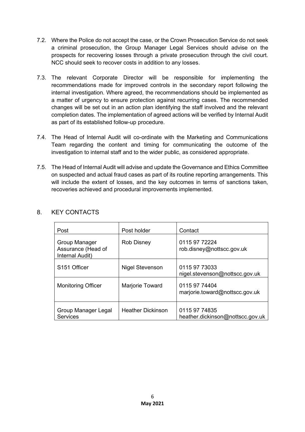- 7.2. Where the Police do not accept the case, or the Crown Prosecution Service do not seek a criminal prosecution, the Group Manager Legal Services should advise on the prospects for recovering losses through a private prosecution through the civil court. NCC should seek to recover costs in addition to any losses.
- 7.3. The relevant Corporate Director will be responsible for implementing the recommendations made for improved controls in the secondary report following the internal investigation. Where agreed, the recommendations should be implemented as a matter of urgency to ensure protection against recurring cases. The recommended changes will be set out in an action plan identifying the staff involved and the relevant completion dates. The implementation of agreed actions will be verified by Internal Audit as part of its established follow-up procedure.
- 7.4. The Head of Internal Audit will co-ordinate with the Marketing and Communications Team regarding the content and timing for communicating the outcome of the investigation to internal staff and to the wider public, as considered appropriate.
- 7.5. The Head of Internal Audit will advise and update the Governance and Ethics Committee on suspected and actual fraud cases as part of its routine reporting arrangements. This will include the extent of losses, and the key outcomes in terms of sanctions taken, recoveries achieved and procedural improvements implemented.

| Post                                                   | Post holder              | Contact                                           |
|--------------------------------------------------------|--------------------------|---------------------------------------------------|
| Group Manager<br>Assurance (Head of<br>Internal Audit) | <b>Rob Disney</b>        | 0115 97 72224<br>rob.disney@nottscc.gov.uk        |
| S <sub>151</sub> Officer                               | <b>Nigel Stevenson</b>   | 0115 97 73033<br>nigel.stevenson@nottscc.gov.uk   |
| <b>Monitoring Officer</b>                              | Marjorie Toward          | 0115 97 74404<br>marjorie.toward@nottscc.gov.uk   |
| Group Manager Legal<br><b>Services</b>                 | <b>Heather Dickinson</b> | 0115 97 74835<br>heather.dickinson@nottscc.gov.uk |

# 8. KEY CONTACTS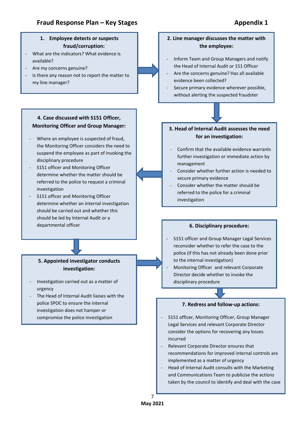

Head of Internal Audit consults with the Marketing and Communications Team to publicise the actions taken by the council to identify and deal with the case